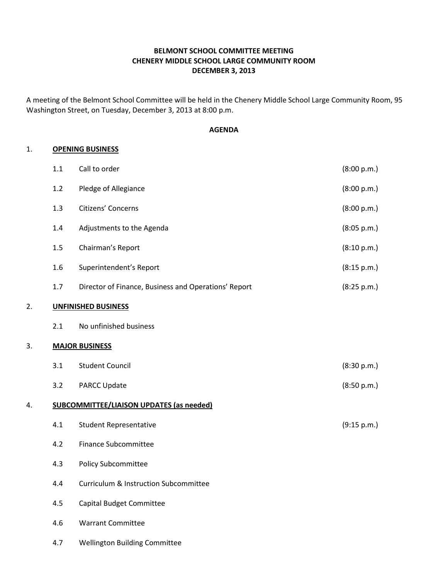## BELMONT SCHOOL COMMITTEE MEETING CHENERY MIDDLE SCHOOL LARGE COMMUNITY ROOM DECEMBER 3, 2013

A meeting of the Belmont School Committee will be held in the Chenery Middle School Large Community Room, 95 Washington Street, on Tuesday, December 3, 2013 at 8:00 p.m.

### AGENDA

### 1. OPENING BUSINESS

|    | $1.1\,$ | Call to order                                        | (8:00 p.m.) |
|----|---------|------------------------------------------------------|-------------|
|    | 1.2     | Pledge of Allegiance                                 | (8:00 p.m.) |
|    | 1.3     | Citizens' Concerns                                   | (8:00 p.m.) |
|    | 1.4     | Adjustments to the Agenda                            | (8:05 p.m.) |
|    | 1.5     | Chairman's Report                                    | (8:10 p.m.) |
|    | 1.6     | Superintendent's Report                              | (8:15 p.m.) |
|    | $1.7$   | Director of Finance, Business and Operations' Report | (8:25 p.m.) |
| 2. |         | <b>UNFINISHED BUSINESS</b>                           |             |
|    | 2.1     | No unfinished business                               |             |
| 3. |         | <b>MAJOR BUSINESS</b>                                |             |
|    | 3.1     | <b>Student Council</b>                               | (8:30 p.m.) |
|    | 3.2     | <b>PARCC Update</b>                                  | (8:50 p.m.) |
| 4. |         | <b>SUBCOMMITTEE/LIAISON UPDATES (as needed)</b>      |             |
|    | 4.1     | <b>Student Representative</b>                        | (9:15 p.m.) |
|    | 4.2     | <b>Finance Subcommittee</b>                          |             |
|    | 4.3     | <b>Policy Subcommittee</b>                           |             |
|    | 4.4     | <b>Curriculum &amp; Instruction Subcommittee</b>     |             |
|    | 4.5     | <b>Capital Budget Committee</b>                      |             |
|    | 4.6     | <b>Warrant Committee</b>                             |             |
|    | 4.7     | <b>Wellington Building Committee</b>                 |             |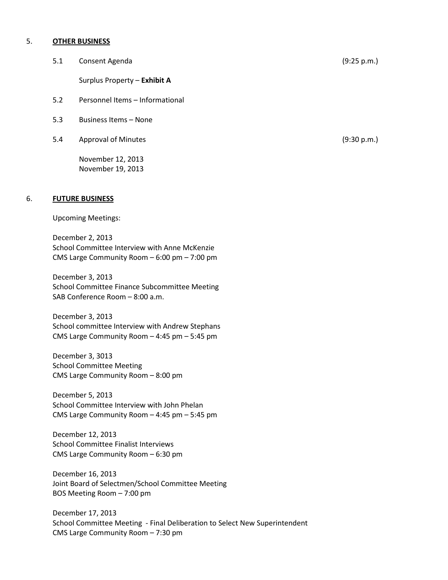#### 5. OTHER BUSINESS

5.1 Consent Agenda (9:25 p.m.)

Surplus Property – Exhibit A

- 5.2 Personnel Items Informational
- 5.3 Business Items None
- 5.4 Approval of Minutes (9:30 p.m.)

 November 12, 2013 November 19, 2013

#### 6. FUTURE BUSINESS

Upcoming Meetings:

 December 2, 2013 School Committee Interview with Anne McKenzie CMS Large Community Room – 6:00 pm – 7:00 pm

 December 3, 2013 School Committee Finance Subcommittee Meeting SAB Conference Room – 8:00 a.m.

 December 3, 2013 School committee Interview with Andrew Stephans CMS Large Community Room – 4:45 pm – 5:45 pm

 December 3, 3013 School Committee Meeting CMS Large Community Room – 8:00 pm

 December 5, 2013 School Committee Interview with John Phelan CMS Large Community Room – 4:45 pm – 5:45 pm

 December 12, 2013 School Committee Finalist Interviews CMS Large Community Room – 6:30 pm

 December 16, 2013 Joint Board of Selectmen/School Committee Meeting BOS Meeting Room – 7:00 pm

 December 17, 2013 School Committee Meeting - Final Deliberation to Select New Superintendent CMS Large Community Room – 7:30 pm